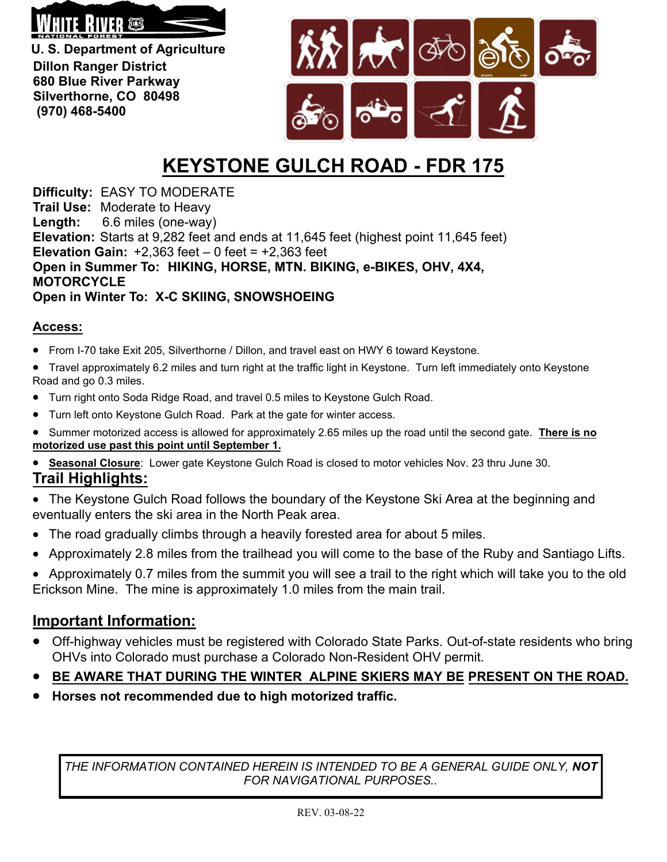

**U. S. Department of Agriculture Dillon Ranger District 680 Blue River Parkway Silverthorne, CO 80498 (970) 468-5400**



## **KEYSTONE GULCH ROAD - FDR 175**

**Difficulty:** EASY TO MODERATE **Trail Use:** Moderate to Heavy **Length:** 6.6 miles (one-way) **Elevation:** Starts at 9,282 feet and ends at 11,645 feet (highest point 11,645 feet) **Elevation Gain:**  $+2,363$  feet  $-0$  feet  $= +2,363$  feet **Open in Summer To: HIKING, HORSE, MTN. BIKING, e-BIKES, OHV, 4X4, MOTORCYCLE Open in Winter To: X-C SKIING, SNOWSHOEING**

## **Access:**

- From I-70 take Exit 205, Silverthorne / Dillon, and travel east on HWY 6 toward Keystone.
- Travel approximately 6.2 miles and turn right at the traffic light in Keystone. Turn left immediately onto Keystone Road and go 0.3 miles.
- Turn right onto Soda Ridge Road, and travel 0.5 miles to Keystone Gulch Road.
- Turn left onto Keystone Gulch Road. Park at the gate for winter access.
- Summer motorized access is allowed for approximately 2.65 miles up the road until the second gate. **There is no motorized use past this point until September 1.**
- **Seasonal Closure**: Lower gate Keystone Gulch Road is closed to motor vehicles Nov. 23 thru June 30. **Trail Highlights:**
- The Keystone Gulch Road follows the boundary of the Keystone Ski Area at the beginning and eventually enters the ski area in the North Peak area.
- The road gradually climbs through a heavily forested area for about 5 miles.
- Approximately 2.8 miles from the trailhead you will come to the base of the Ruby and Santiago Lifts.
- Approximately 0.7 miles from the summit you will see a trail to the right which will take you to the old Erickson Mine. The mine is approximately 1.0 miles from the main trail.

## **Important Information:**

- Off-highway vehicles must be registered with Colorado State Parks. Out-of-state residents who bring OHVs into Colorado must purchase a Colorado Non-Resident OHV permit.
- **BE AWARE THAT DURING THE WINTER ALPINE SKIERS MAY BE PRESENT ON THE ROAD.**
- **Horses not recommended due to high motorized traffic.**

*THE INFORMATION CONTAINED HEREIN IS INTENDED TO BE A GENERAL GUIDE ONLY, NOT FOR NAVIGATIONAL PURPOSES..*